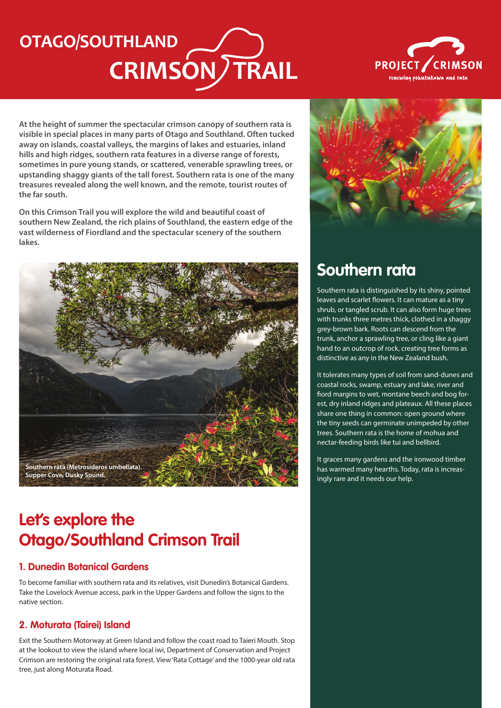# **CRIMSON/TRAIL OTAGO/SOUTHLAND**



**At the height of summer the spectacular crimson canopy of southern rata is visible in special places in many parts of Otago and Southland. Often tucked away on islands, coastal valleys, the margins of lakes and estuaries, inland hills and high ridges, southern rata features in a diverse range of forests, sometimes in pure young stands, or scattered, venerable sprawling trees, or upstanding shaggy giants of the tall forest. Southern rata is one of the many treasures revealed along the well known, and the remote, tourist routes of the far south.**

**On this Crimson Trail you will explore the wild and beautiful coast of southern New Zealand, the rich plains of Southland, the eastern edge of the vast wilderness of Fiordland and the spectacular scenery of the southern lakes.**



### **Let's explore the Otago/Southland Crimson Trail**

#### **1. Dunedin Botanical Gardens**

To become familiar with southern rata and its relatives, visit Dunedin's Botanical Gardens. Take the Lovelock Avenue access, park in the Upper Gardens and follow the signs to the native section.

### **2. Moturata (Tairei) Island**

Exit the Southern Motorway at Green Island and follow the coast road to Taieri Mouth. Stop at the lookout to view the island where local iwi, Department of Conservation and Project Crimson are restoring the original rata forest. View 'Rata Cottage' and the 1000-year old rata tree, just along Moturata Road.



### **Southern rata**

Southern rata is distinguished by its shiny, pointed leaves and scarlet flowers. It can mature as a tiny shrub, or tangled scrub. It can also form huge trees with trunks three metres thick, clothed in a shaggy grey-brown bark. Roots can descend from the trunk, anchor a sprawling tree, or cling like a giant hand to an outcrop of rock, creating tree forms as distinctive as any in the New Zealand bush.

It tolerates many types of soil from sand-dunes and coastal rocks, swamp, estuary and lake, river and fiord margins to wet, montane beech and bog forest, dry inland ridges and plateaux. All these places share one thing in common: open ground where the tiny seeds can germinate unimpeded by other trees. Southern rata is the home of mohua and nectar-feeding birds like tui and bellbird.

It graces many gardens and the ironwood timber has warmed many hearths. Today, rata is increasingly rare and it needs our help.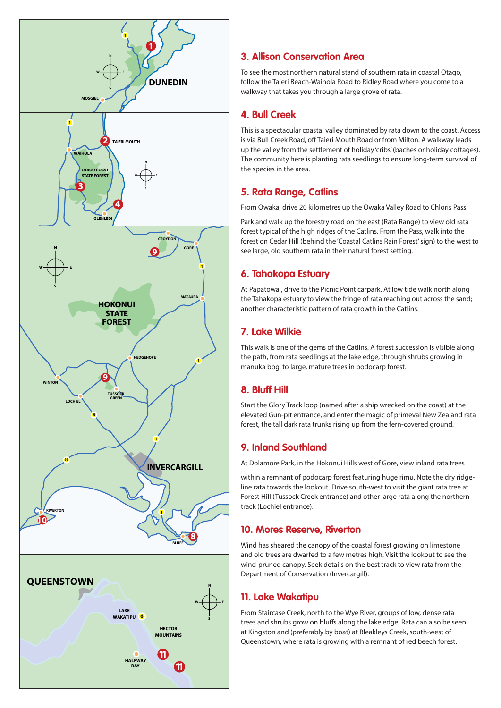

#### **3. Allison Conservation Area**

To see the most northern natural stand of southern rata in coastal Otago, follow the Taieri Beach-Waihola Road to Ridley Road where you come to a walkway that takes you through a large grove of rata.

#### **4. Bull Creek**

This is a spectacular coastal valley dominated by rata down to the coast. Access is via Bull Creek Road, off Taieri Mouth Road or from Milton. A walkway leads up the valley from the settlement of holiday 'cribs' (baches or holiday cottages). The community here is planting rata seedlings to ensure long-term survival of the species in the area.

#### **5. Rata Range, Catlins**

From Owaka, drive 20 kilometres up the Owaka Valley Road to Chloris Pass.

Park and walk up the forestry road on the east (Rata Range) to view old rata forest typical of the high ridges of the Catlins. From the Pass, walk into the forest on Cedar Hill (behind the 'Coastal Catlins Rain Forest' sign) to the west to see large, old southern rata in their natural forest setting.

#### **6. Tahakopa Estuary**

At Papatowai, drive to the Picnic Point carpark. At low tide walk north along the Tahakopa estuary to view the fringe of rata reaching out across the sand; another characteristic pattern of rata growth in the Catlins.

### **7. Lake Wilkie**

This walk is one of the gems of the Catlins. A forest succession is visible along the path, from rata seedlings at the lake edge, through shrubs growing in manuka bog, to large, mature trees in podocarp forest.

### **8. Bluff Hill**

Start the Glory Track loop (named after a ship wrecked on the coast) at the elevated Gun-pit entrance, and enter the magic of primeval New Zealand rata forest, the tall dark rata trunks rising up from the fern-covered ground.

### **9. Inland Southland**

At Dolamore Park, in the Hokonui Hills west of Gore, view inland rata trees

within a remnant of podocarp forest featuring huge rimu. Note the dry ridgeline rata towards the lookout. Drive south-west to visit the giant rata tree at Forest Hill (Tussock Creek entrance) and other large rata along the northern track (Lochiel entrance).

#### **10. Mores Reserve, Riverton**

Wind has sheared the canopy of the coastal forest growing on limestone and old trees are dwarfed to a few metres high. Visit the lookout to see the wind-pruned canopy. Seek details on the best track to view rata from the Department of Conservation (Invercargill).

### **11. Lake Wakatipu**

From Staircase Creek, north to the Wye River, groups of low, dense rata trees and shrubs grow on bluffs along the lake edge. Rata can also be seen at Kingston and (preferably by boat) at Bleakleys Creek, south-west of Queenstown, where rata is growing with a remnant of red beech forest.